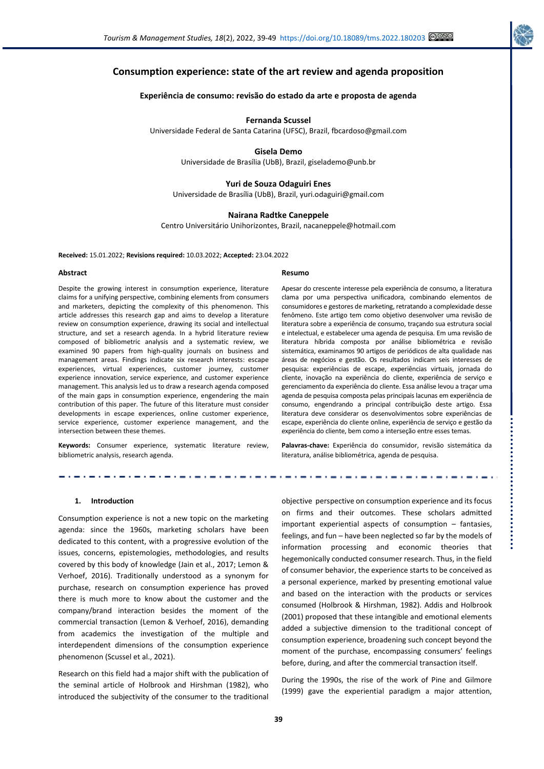

# **Consumption experience: state of the art review and agenda proposition**

## **Experiência de consumo: revisão do estado da arte e proposta de agenda**

#### **Fernanda Scussel**

Universidade Federal de Santa Catarina (UFSC), Brazil, fbcardoso@gmail.com

#### **Gisela Demo**

Universidade de Brasília (UbB), Brazil, giselademo@unb.br

## **Yuri de Souza Odaguiri Enes**

Universidade de Brasília (UbB), Brazil, yuri.odaguiri@gmail.com

## **Nairana Radtke Caneppele**

Centro Universitário Unihorizontes, Brazil, nacaneppele@hotmail.com

**Received:** 15.01.2022; **Revisions required:** 10.03.2022; **Accepted:** 23.04.2022

#### **Abstract**

Despite the growing interest in consumption experience, literature claims for a unifying perspective, combining elements from consumers and marketers, depicting the complexity of this phenomenon. This article addresses this research gap and aims to develop a literature review on consumption experience, drawing its social and intellectual structure, and set a research agenda. In a hybrid literature review composed of bibliometric analysis and a systematic review, we examined 90 papers from high-quality journals on business and management areas. Findings indicate six research interests: escape experiences, virtual experiences, customer journey, customer experience innovation, service experience, and customer experience management. This analysis led us to draw a research agenda composed of the main gaps in consumption experience, engendering the main contribution of this paper. The future of this literature must consider developments in escape experiences, online customer experience, service experience, customer experience management, and the intersection between these themes.

**Keywords:** Consumer experience, systematic literature review, bibliometric analysis, research agenda.

#### **Resumo**

Apesar do crescente interesse pela experiência de consumo, a literatura clama por uma perspectiva unificadora, combinando elementos de consumidores e gestores de marketing, retratando a complexidade desse fenômeno. Este artigo tem como objetivo desenvolver uma revisão de literatura sobre a experiência de consumo, traçando sua estrutura social e intelectual, e estabelecer uma agenda de pesquisa. Em uma revisão de literatura híbrida composta por análise bibliométrica e revisão sistemática, examinamos 90 artigos de periódicos de alta qualidade nas áreas de negócios e gestão. Os resultados indicam seis interesses de pesquisa: experiências de escape, experiências virtuais, jornada do cliente, inovação na experiência do cliente, experiência de serviço e gerenciamento da experiência do cliente. Essa análise levou a traçar uma agenda de pesquisa composta pelas principais lacunas em experiência de consumo, engendrando a principal contribuição deste artigo. Essa literatura deve considerar os desenvolvimentos sobre experiências de escape, experiência do cliente online, experiência de serviço e gestão da experiência do cliente, bem como a interseção entre esses temas.

**Palavras-chave:** Experiência do consumidor, revisão sistemática da literatura, análise bibliométrica, agenda de pesquisa.

#### **1. Introduction**

Consumption experience is not a new topic on the marketing agenda: since the 1960s, marketing scholars have been dedicated to this content, with a progressive evolution of the issues, concerns, epistemologies, methodologies, and results covered by this body of knowledge (Jain et al., 2017; Lemon & Verhoef, 2016). Traditionally understood as a synonym for purchase, research on consumption experience has proved there is much more to know about the customer and the company/brand interaction besides the moment of the commercial transaction (Lemon & Verhoef, 2016), demanding from academics the investigation of the multiple and interdependent dimensions of the consumption experience phenomenon (Scussel et al., 2021).

Research on this field had a major shift with the publication of the seminal article of Holbrook and Hirshman (1982), who introduced the subjectivity of the consumer to the traditional objective perspective on consumption experience and its focus on firms and their outcomes. These scholars admitted important experiential aspects of consumption – fantasies, feelings, and fun – have been neglected so far by the models of information processing and economic theories that hegemonically conducted consumer research. Thus, in the field of consumer behavior, the experience starts to be conceived as a personal experience, marked by presenting emotional value and based on the interaction with the products or services consumed (Holbrook & Hirshman, 1982). Addis and Holbrook (2001) proposed that these intangible and emotional elements added a subjective dimension to the traditional concept of consumption experience, broadening such concept beyond the moment of the purchase, encompassing consumers' feelings before, during, and after the commercial transaction itself.

During the 1990s, the rise of the work of Pine and Gilmore (1999) gave the experiential paradigm a major attention,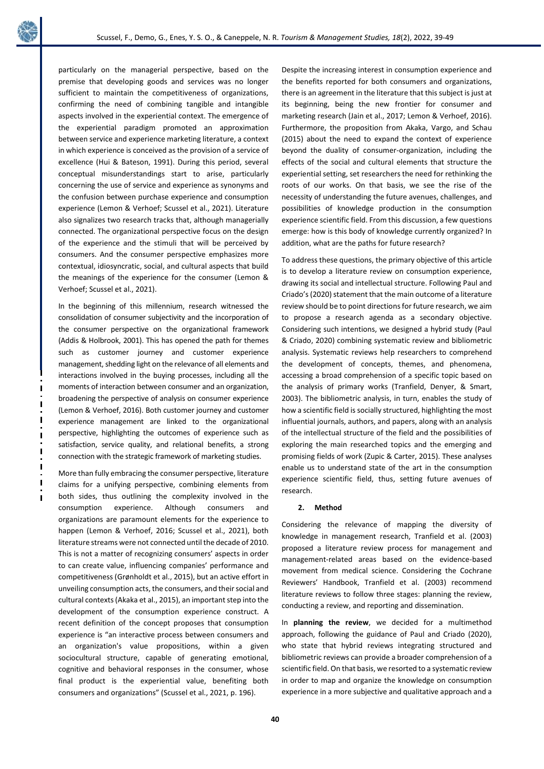

particularly on the managerial perspective, based on the premise that developing goods and services was no longer sufficient to maintain the competitiveness of organizations, confirming the need of combining tangible and intangible aspects involved in the experiential context. The emergence of the experiential paradigm promoted an approximation between service and experience marketing literature, a context in which experience is conceived as the provision of a service of excellence (Hui & Bateson, 1991). During this period, several conceptual misunderstandings start to arise, particularly concerning the use of service and experience as synonyms and the confusion between purchase experience and consumption experience (Lemon & Verhoef; Scussel et al., 2021). Literature also signalizes two research tracks that, although managerially connected. The organizational perspective focus on the design of the experience and the stimuli that will be perceived by consumers. And the consumer perspective emphasizes more contextual, idiosyncratic, social, and cultural aspects that build the meanings of the experience for the consumer (Lemon & Verhoef; Scussel et al., 2021).

In the beginning of this millennium, research witnessed the consolidation of consumer subjectivity and the incorporation of the consumer perspective on the organizational framework (Addis & Holbrook, 2001). This has opened the path for themes such as customer journey and customer experience management, shedding light on the relevance of all elements and interactions involved in the buying processes, including all the moments of interaction between consumer and an organization, broadening the perspective of analysis on consumer experience (Lemon & Verhoef, 2016). Both customer journey and customer experience management are linked to the organizational perspective, highlighting the outcomes of experience such as satisfaction, service quality, and relational benefits, a strong connection with the strategic framework of marketing studies.

More than fully embracing the consumer perspective, literature claims for a unifying perspective, combining elements from both sides, thus outlining the complexity involved in the consumption experience. Although consumers and organizations are paramount elements for the experience to happen (Lemon & Verhoef, 2016; Scussel et al., 2021), both literature streams were not connected until the decade of 2010. This is not a matter of recognizing consumers' aspects in order to can create value, influencing companies' performance and competitiveness (Grønholdt et al., 2015), but an active effort in unveiling consumption acts, the consumers, and their social and cultural contexts (Akaka et al., 2015), an important step into the development of the consumption experience construct. A recent definition of the concept proposes that consumption experience is "an interactive process between consumers and an organization's value propositions, within a given sociocultural structure, capable of generating emotional, cognitive and behavioral responses in the consumer, whose final product is the experiential value, benefiting both consumers and organizations" (Scussel et al., 2021, p. 196).

Despite the increasing interest in consumption experience and the benefits reported for both consumers and organizations, there is an agreement in the literature that this subject is just at its beginning, being the new frontier for consumer and marketing research (Jain et al., 2017; Lemon & Verhoef, 2016). Furthermore, the proposition from Akaka, Vargo, and Schau (2015) about the need to expand the context of experience beyond the duality of consumer-organization, including the effects of the social and cultural elements that structure the experiential setting, set researchers the need for rethinking the roots of our works. On that basis, we see the rise of the necessity of understanding the future avenues, challenges, and possibilities of knowledge production in the consumption experience scientific field. From this discussion, a few questions emerge: how is this body of knowledge currently organized? In addition, what are the paths for future research?

To address these questions, the primary objective of this article is to develop a literature review on consumption experience, drawing its social and intellectual structure. Following Paul and Criado's (2020) statement that the main outcome of a literature review should be to point directions for future research, we aim to propose a research agenda as a secondary objective. Considering such intentions, we designed a hybrid study (Paul & Criado, 2020) combining systematic review and bibliometric analysis. Systematic reviews help researchers to comprehend the development of concepts, themes, and phenomena, accessing a broad comprehension of a specific topic based on the analysis of primary works (Tranfield, Denyer, & Smart, 2003). The bibliometric analysis, in turn, enables the study of how a scientific field is socially structured, highlighting the most influential journals, authors, and papers, along with an analysis of the intellectual structure of the field and the possibilities of exploring the main researched topics and the emerging and promising fields of work (Zupic & Carter, 2015). These analyses enable us to understand state of the art in the consumption experience scientific field, thus, setting future avenues of research.

## **2. Method**

Considering the relevance of mapping the diversity of knowledge in management research, Tranfield et al. (2003) proposed a literature review process for management and management-related areas based on the evidence-based movement from medical science. Considering the Cochrane Reviewers' Handbook, Tranfield et al. (2003) recommend literature reviews to follow three stages: planning the review, conducting a review, and reporting and dissemination.

In **planning the review**, we decided for a multimethod approach, following the guidance of Paul and Criado (2020), who state that hybrid reviews integrating structured and bibliometric reviews can provide a broader comprehension of a scientific field. On that basis, we resorted to a systematic review in order to map and organize the knowledge on consumption experience in a more subjective and qualitative approach and a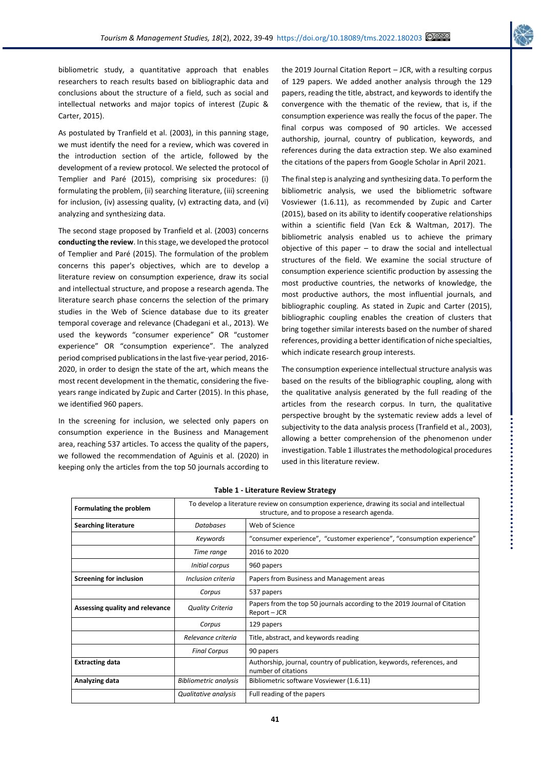

bibliometric study, a quantitative approach that enables researchers to reach results based on bibliographic data and conclusions about the structure of a field, such as social and intellectual networks and major topics of interest (Zupic & Carter, 2015).

As postulated by Tranfield et al. (2003), in this panning stage, we must identify the need for a review, which was covered in the introduction section of the article, followed by the development of a review protocol. We selected the protocol of Templier and Paré (2015), comprising six procedures: (i) formulating the problem, (ii) searching literature, (iii) screening for inclusion, (iv) assessing quality, (v) extracting data, and (vi) analyzing and synthesizing data.

The second stage proposed by Tranfield et al. (2003) concerns **conducting the review**. In this stage, we developed the protocol of Templier and Paré (2015). The formulation of the problem concerns this paper's objectives, which are to develop a literature review on consumption experience, draw its social and intellectual structure, and propose a research agenda. The literature search phase concerns the selection of the primary studies in the Web of Science database due to its greater temporal coverage and relevance (Chadegani et al., 2013). We used the keywords "consumer experience" OR "customer experience" OR "consumption experience". The analyzed period comprised publications in the last five-year period, 2016- 2020, in order to design the state of the art, which means the most recent development in the thematic, considering the fiveyears range indicated by Zupic and Carter (2015). In this phase, we identified 960 papers.

In the screening for inclusion, we selected only papers on consumption experience in the Business and Management area, reaching 537 articles. To access the quality of the papers, we followed the recommendation of Aguinis et al. (2020) in keeping only the articles from the top 50 journals according to

the 2019 Journal Citation Report – JCR, with a resulting corpus of 129 papers. We added another analysis through the 129 papers, reading the title, abstract, and keywords to identify the convergence with the thematic of the review, that is, if the consumption experience was really the focus of the paper. The final corpus was composed of 90 articles. We accessed authorship, journal, country of publication, keywords, and references during the data extraction step. We also examined the citations of the papers from Google Scholar in April 2021.

The final step is analyzing and synthesizing data. To perform the bibliometric analysis, we used the bibliometric software Vosviewer (1.6.11), as recommended by Zupic and Carter (2015), based on its ability to identify cooperative relationships within a scientific field (Van Eck & Waltman, 2017). The bibliometric analysis enabled us to achieve the primary objective of this paper  $-$  to draw the social and intellectual structures of the field. We examine the social structure of consumption experience scientific production by assessing the most productive countries, the networks of knowledge, the most productive authors, the most influential journals, and bibliographic coupling. As stated in Zupic and Carter (2015), bibliographic coupling enables the creation of clusters that bring together similar interests based on the number of shared references, providing a better identification of niche specialties, which indicate research group interests.

The consumption experience intellectual structure analysis was based on the results of the bibliographic coupling, along with the qualitative analysis generated by the full reading of the articles from the research corpus. In turn, the qualitative perspective brought by the systematic review adds a level of subjectivity to the data analysis process (Tranfield et al., 2003), allowing a better comprehension of the phenomenon under investigation. Table 1 illustrates the methodological procedures used in this literature review.

| Formulating the problem         | To develop a literature review on consumption experience, drawing its social and intellectual<br>structure, and to propose a research agenda. |                                                                                               |  |
|---------------------------------|-----------------------------------------------------------------------------------------------------------------------------------------------|-----------------------------------------------------------------------------------------------|--|
| <b>Searching literature</b>     | <b>Databases</b>                                                                                                                              | Web of Science                                                                                |  |
|                                 | Keywords                                                                                                                                      | "consumer experience", "customer experience", "consumption experience"                        |  |
|                                 | Time range                                                                                                                                    | 2016 to 2020                                                                                  |  |
|                                 | Initial corpus                                                                                                                                | 960 papers                                                                                    |  |
| <b>Screening for inclusion</b>  | Inclusion criteria                                                                                                                            | Papers from Business and Management areas                                                     |  |
|                                 | Corpus                                                                                                                                        | 537 papers                                                                                    |  |
| Assessing quality and relevance | <b>Quality Criteria</b>                                                                                                                       | Papers from the top 50 journals according to the 2019 Journal of Citation<br>Report - JCR     |  |
|                                 | Corpus                                                                                                                                        | 129 papers                                                                                    |  |
|                                 | Relevance criteria                                                                                                                            | Title, abstract, and keywords reading                                                         |  |
|                                 | <b>Final Corpus</b>                                                                                                                           | 90 papers                                                                                     |  |
| <b>Extracting data</b>          |                                                                                                                                               | Authorship, journal, country of publication, keywords, references, and<br>number of citations |  |
| Analyzing data                  | <b>Bibliometric analysis</b>                                                                                                                  | Bibliometric software Vosviewer (1.6.11)                                                      |  |
|                                 | Qualitative analysis                                                                                                                          | Full reading of the papers                                                                    |  |

**Table 1 - Literature Review Strategy**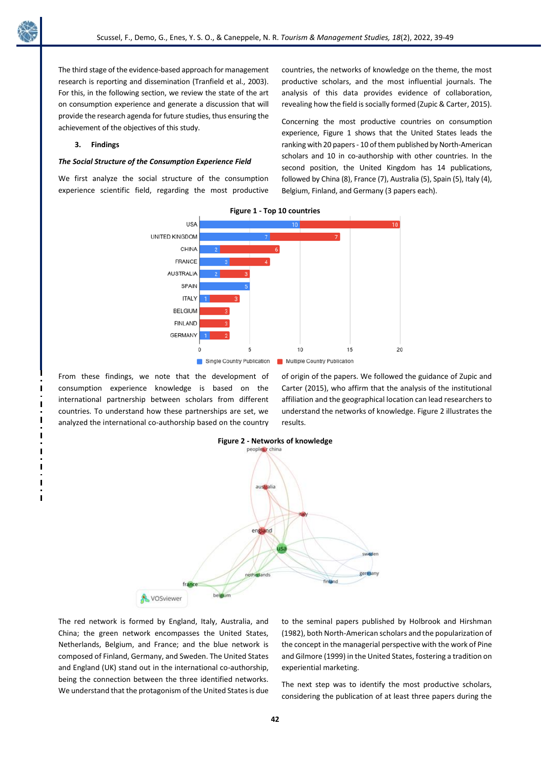The third stage of the evidence-based approach for management research is reporting and dissemination (Tranfield et al., 2003). For this, in the following section, we review the state of the art on consumption experience and generate a discussion that will provide the research agenda for future studies, thus ensuring the achievement of the objectives of this study.

# **3. Findings**

## *The Social Structure of the Consumption Experience Field*

We first analyze the social structure of the consumption experience scientific field, regarding the most productive countries, the networks of knowledge on the theme, the most productive scholars, and the most influential journals. The analysis of this data provides evidence of collaboration, revealing how the field is socially formed (Zupic & Carter, 2015).

Concerning the most productive countries on consumption experience, Figure 1 shows that the United States leads the ranking with 20 papers - 10 of them published by North-American scholars and 10 in co-authorship with other countries. In the second position, the United Kingdom has 14 publications, followed by China (8), France (7), Australia (5), Spain (5), Italy (4), Belgium, Finland, and Germany (3 papers each).



From these findings, we note that the development of consumption experience knowledge is based on the international partnership between scholars from different countries. To understand how these partnerships are set, we analyzed the international co-authorship based on the country of origin of the papers. We followed the guidance of Zupic and Carter (2015), who affirm that the analysis of the institutional affiliation and the geographical location can lead researchers to understand the networks of knowledge. Figure 2 illustrates the results.



The red network is formed by England, Italy, Australia, and China; the green network encompasses the United States, Netherlands, Belgium, and France; and the blue network is composed of Finland, Germany, and Sweden. The United States and England (UK) stand out in the international co-authorship, being the connection between the three identified networks. We understand that the protagonism of the United States is due to the seminal papers published by Holbrook and Hirshman (1982), both North-American scholars and the popularization of the concept in the managerial perspective with the work of Pine and Gilmore (1999) in the United States, fostering a tradition on experiential marketing.

The next step was to identify the most productive scholars, considering the publication of at least three papers during the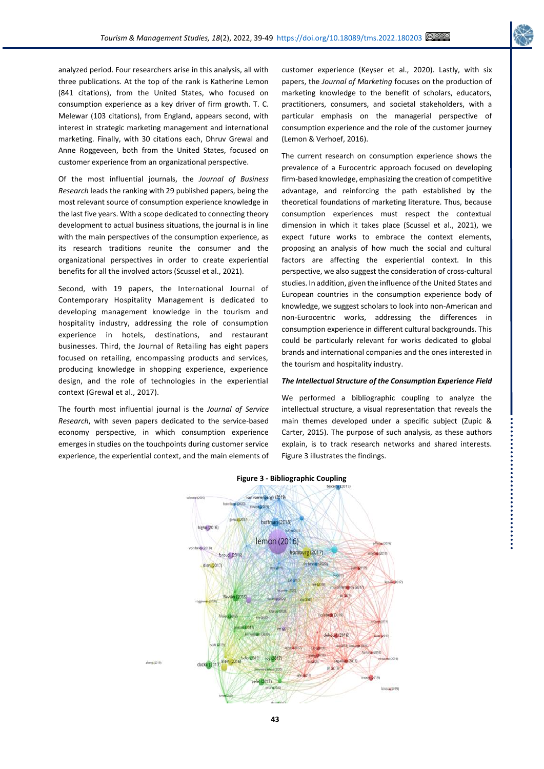....................

analyzed period. Four researchers arise in this analysis, all with three publications. At the top of the rank is Katherine Lemon (841 citations), from the United States, who focused on consumption experience as a key driver of firm growth. T. C. Melewar (103 citations), from England, appears second, with interest in strategic marketing management and international marketing. Finally, with 30 citations each, Dhruv Grewal and Anne Roggeveen, both from the United States, focused on customer experience from an organizational perspective.

Of the most influential journals, the *Journal of Business Research* leads the ranking with 29 published papers, being the most relevant source of consumption experience knowledge in the last five years. With a scope dedicated to connecting theory development to actual business situations, the journal is in line with the main perspectives of the consumption experience, as its research traditions reunite the consumer and the organizational perspectives in order to create experiential benefits for all the involved actors (Scussel et al., 2021).

Second, with 19 papers, the International Journal of Contemporary Hospitality Management is dedicated to developing management knowledge in the tourism and hospitality industry, addressing the role of consumption experience in hotels, destinations, and restaurant businesses. Third, the Journal of Retailing has eight papers focused on retailing, encompassing products and services, producing knowledge in shopping experience, experience design, and the role of technologies in the experiential context (Grewal et al., 2017).

The fourth most influential journal is the *Journal of Service Research*, with seven papers dedicated to the service-based economy perspective, in which consumption experience emerges in studies on the touchpoints during customer service experience, the experiential context, and the main elements of customer experience (Keyser et al., 2020). Lastly, with six papers, the *Journal of Marketing* focuses on the production of marketing knowledge to the benefit of scholars, educators, practitioners, consumers, and societal stakeholders, with a particular emphasis on the managerial perspective of consumption experience and the role of the customer journey (Lemon & Verhoef, 2016).

The current research on consumption experience shows the prevalence of a Eurocentric approach focused on developing firm-based knowledge, emphasizing the creation of competitive advantage, and reinforcing the path established by the theoretical foundations of marketing literature. Thus, because consumption experiences must respect the contextual dimension in which it takes place (Scussel et al., 2021), we expect future works to embrace the context elements, proposing an analysis of how much the social and cultural factors are affecting the experiential context. In this perspective, we also suggest the consideration of cross-cultural studies. In addition, given the influence of the United States and European countries in the consumption experience body of knowledge, we suggest scholars to look into non-American and non-Eurocentric works, addressing the differences in consumption experience in different cultural backgrounds. This could be particularly relevant for works dedicated to global brands and international companies and the ones interested in the tourism and hospitality industry.

## *The Intellectual Structure of the Consumption Experience Field*

We performed a bibliographic coupling to analyze the intellectual structure, a visual representation that reveals the main themes developed under a specific subject (Zupic & Carter, 2015). The purpose of such analysis, as these authors explain, is to track research networks and shared interests. Figure 3 illustrates the findings.



### **Figure 3 - Bibliographic Coupling**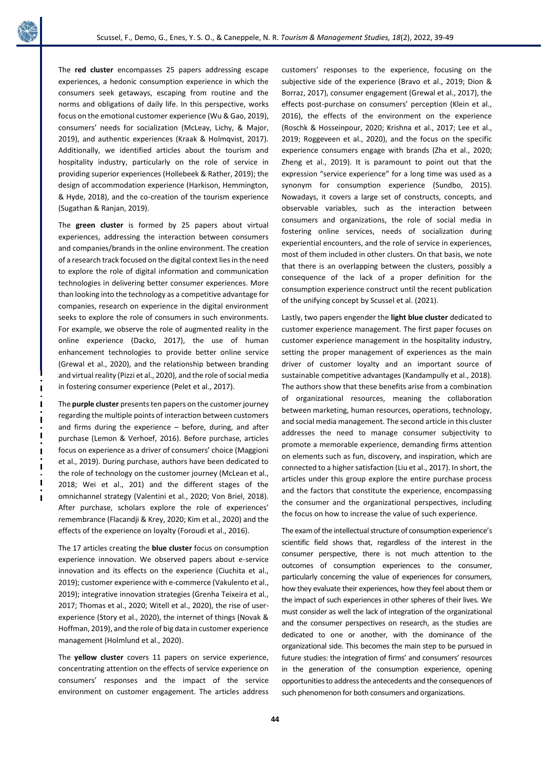

The **red cluster** encompasses 25 papers addressing escape experiences, a hedonic consumption experience in which the consumers seek getaways, escaping from routine and the norms and obligations of daily life. In this perspective, works focus on the emotional customer experience (Wu & Gao, 2019), consumers' needs for socialization (McLeay, Lichy, & Major, 2019), and authentic experiences (Kraak & Holmqvist, 2017). Additionally, we identified articles about the tourism and hospitality industry, particularly on the role of service in providing superior experiences (Hollebeek & Rather, 2019); the design of accommodation experience (Harkison, Hemmington, & Hyde, 2018), and the co-creation of the tourism experience (Sugathan & Ranjan, 2019).

The **green cluster** is formed by 25 papers about virtual experiences, addressing the interaction between consumers and companies/brands in the online environment. The creation of a research track focused on the digital context lies in the need to explore the role of digital information and communication technologies in delivering better consumer experiences. More than looking into the technology as a competitive advantage for companies, research on experience in the digital environment seeks to explore the role of consumers in such environments. For example, we observe the role of augmented reality in the online experience (Dacko, 2017), the use of human enhancement technologies to provide better online service (Grewal et al., 2020), and the relationship between branding and virtual reality (Pizzi et al., 2020), and the role of social media in fostering consumer experience (Pelet et al., 2017).

The **purple cluster** presents ten papers on the customer journey regarding the multiple points of interaction between customers and firms during the experience – before, during, and after purchase (Lemon & Verhoef, 2016). Before purchase, articles focus on experience as a driver of consumers' choice (Maggioni et al., 2019). During purchase, authors have been dedicated to the role of technology on the customer journey (McLean et al., 2018; Wei et al., 201) and the different stages of the omnichannel strategy (Valentini et al., 2020; Von Briel, 2018). After purchase, scholars explore the role of experiences' remembrance (Flacandji & Krey, 2020; Kim et al., 2020) and the effects of the experience on loyalty (Foroudi et al., 2016).

The 17 articles creating the **blue cluster** focus on consumption experience innovation. We observed papers about e-service innovation and its effects on the experience (Ciuchita et al., 2019); customer experience with e-commerce (Vakulento et al., 2019); integrative innovation strategies (Grenha Teixeira et al., 2017; Thomas et al., 2020; Witell et al., 2020), the rise of userexperience (Story et al., 2020), the internet of things (Novak & Hoffman, 2019), and the role of big data in customer experience management (Holmlund et al., 2020).

The **yellow cluster** covers 11 papers on service experience, concentrating attention on the effects of service experience on consumers' responses and the impact of the service environment on customer engagement. The articles address customers' responses to the experience, focusing on the subjective side of the experience (Bravo et al., 2019; Dion & Borraz, 2017), consumer engagement (Grewal et al., 2017), the effects post-purchase on consumers' perception (Klein et al., 2016), the effects of the environment on the experience (Roschk & Hosseinpour, 2020; Krishna et al., 2017; Lee et al., 2019; Roggeveen et al., 2020), and the focus on the specific experience consumers engage with brands (Zha et al., 2020; Zheng et al., 2019). It is paramount to point out that the expression "service experience" for a long time was used as a synonym for consumption experience (Sundbo, 2015). Nowadays, it covers a large set of constructs, concepts, and observable variables, such as the interaction between consumers and organizations, the role of social media in fostering online services, needs of socialization during experiential encounters, and the role of service in experiences, most of them included in other clusters. On that basis, we note that there is an overlapping between the clusters, possibly a consequence of the lack of a proper definition for the consumption experience construct until the recent publication of the unifying concept by Scussel et al. (2021).

Lastly, two papers engender the **light blue cluster** dedicated to customer experience management. The first paper focuses on customer experience management in the hospitality industry, setting the proper management of experiences as the main driver of customer loyalty and an important source of sustainable competitive advantages (Kandampully et al., 2018). The authors show that these benefits arise from a combination of organizational resources, meaning the collaboration between marketing, human resources, operations, technology, and social media management. The second article in this cluster addresses the need to manage consumer subjectivity to promote a memorable experience, demanding firms attention on elements such as fun, discovery, and inspiration, which are connected to a higher satisfaction (Liu et al., 2017). In short, the articles under this group explore the entire purchase process and the factors that constitute the experience, encompassing the consumer and the organizational perspectives, including the focus on how to increase the value of such experience.

The exam of the intellectual structure of consumption experience's scientific field shows that, regardless of the interest in the consumer perspective, there is not much attention to the outcomes of consumption experiences to the consumer, particularly concerning the value of experiences for consumers, how they evaluate their experiences, how they feel about them or the impact of such experiences in other spheres of their lives. We must consider as well the lack of integration of the organizational and the consumer perspectives on research, as the studies are dedicated to one or another, with the dominance of the organizational side. This becomes the main step to be pursued in future studies: the integration of firms' and consumers' resources in the generation of the consumption experience, opening opportunities to address the antecedents and the consequences of such phenomenon for both consumers and organizations.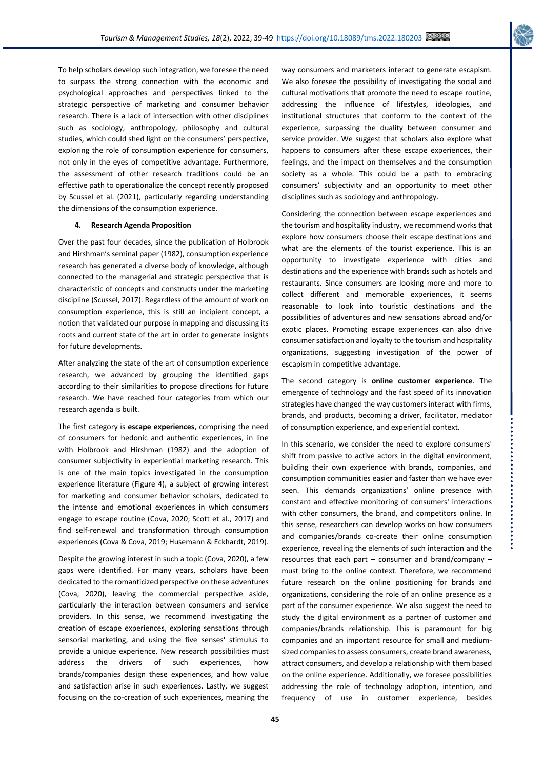

To help scholars develop such integration, we foresee the need to surpass the strong connection with the economic and psychological approaches and perspectives linked to the strategic perspective of marketing and consumer behavior research. There is a lack of intersection with other disciplines such as sociology, anthropology, philosophy and cultural studies, which could shed light on the consumers' perspective, exploring the role of consumption experience for consumers, not only in the eyes of competitive advantage. Furthermore, the assessment of other research traditions could be an effective path to operationalize the concept recently proposed by Scussel et al. (2021), particularly regarding understanding the dimensions of the consumption experience.

# **4. Research Agenda Proposition**

Over the past four decades, since the publication of Holbrook and Hirshman's seminal paper (1982), consumption experience research has generated a diverse body of knowledge, although connected to the managerial and strategic perspective that is characteristic of concepts and constructs under the marketing discipline (Scussel, 2017). Regardless of the amount of work on consumption experience, this is still an incipient concept, a notion that validated our purpose in mapping and discussing its roots and current state of the art in order to generate insights for future developments.

After analyzing the state of the art of consumption experience research, we advanced by grouping the identified gaps according to their similarities to propose directions for future research. We have reached four categories from which our research agenda is built.

The first category is **escape experiences**, comprising the need of consumers for hedonic and authentic experiences, in line with Holbrook and Hirshman (1982) and the adoption of consumer subjectivity in experiential marketing research. This is one of the main topics investigated in the consumption experience literature (Figure 4), a subject of growing interest for marketing and consumer behavior scholars, dedicated to the intense and emotional experiences in which consumers engage to escape routine (Cova, 2020; Scott et al., 2017) and find self-renewal and transformation through consumption experiences (Cova & Cova, 2019; Husemann & Eckhardt, 2019).

Despite the growing interest in such a topic (Cova, 2020), a few gaps were identified. For many years, scholars have been dedicated to the romanticized perspective on these adventures (Cova, 2020), leaving the commercial perspective aside, particularly the interaction between consumers and service providers. In this sense, we recommend investigating the creation of escape experiences, exploring sensations through sensorial marketing, and using the five senses' stimulus to provide a unique experience. New research possibilities must address the drivers of such experiences, how brands/companies design these experiences, and how value and satisfaction arise in such experiences. Lastly, we suggest focusing on the co-creation of such experiences, meaning the way consumers and marketers interact to generate escapism. We also foresee the possibility of investigating the social and cultural motivations that promote the need to escape routine, addressing the influence of lifestyles, ideologies, and institutional structures that conform to the context of the experience, surpassing the duality between consumer and service provider. We suggest that scholars also explore what happens to consumers after these escape experiences, their feelings, and the impact on themselves and the consumption society as a whole. This could be a path to embracing consumers' subjectivity and an opportunity to meet other disciplines such as sociology and anthropology.

Considering the connection between escape experiences and the tourism and hospitality industry, we recommend works that explore how consumers choose their escape destinations and what are the elements of the tourist experience. This is an opportunity to investigate experience with cities and destinations and the experience with brands such as hotels and restaurants. Since consumers are looking more and more to collect different and memorable experiences, it seems reasonable to look into touristic destinations and the possibilities of adventures and new sensations abroad and/or exotic places. Promoting escape experiences can also drive consumer satisfaction and loyalty to the tourism and hospitality organizations, suggesting investigation of the power of escapism in competitive advantage.

The second category is **online customer experience**. The emergence of technology and the fast speed of its innovation strategies have changed the way customers interact with firms, brands, and products, becoming a driver, facilitator, mediator of consumption experience, and experiential context.

In this scenario, we consider the need to explore consumers' shift from passive to active actors in the digital environment, building their own experience with brands, companies, and consumption communities easier and faster than we have ever seen. This demands organizations' online presence with constant and effective monitoring of consumers' interactions with other consumers, the brand, and competitors online. In this sense, researchers can develop works on how consumers and companies/brands co-create their online consumption experience, revealing the elements of such interaction and the resources that each part – consumer and brand/company – must bring to the online context. Therefore, we recommend future research on the online positioning for brands and organizations, considering the role of an online presence as a part of the consumer experience. We also suggest the need to study the digital environment as a partner of customer and companies/brands relationship. This is paramount for big companies and an important resource for small and mediumsized companies to assess consumers, create brand awareness, attract consumers, and develop a relationship with them based on the online experience. Additionally, we foresee possibilities addressing the role of technology adoption, intention, and frequency of use in customer experience, besides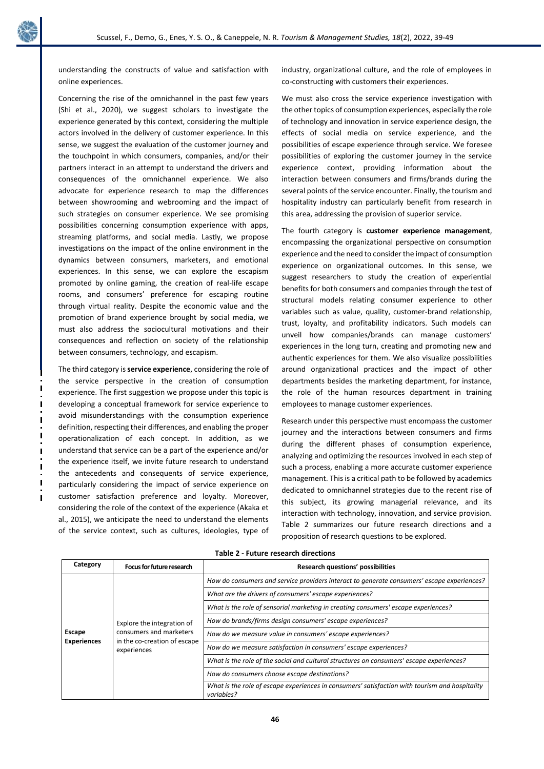

understanding the constructs of value and satisfaction with online experiences.

Concerning the rise of the omnichannel in the past few years (Shi et al., 2020), we suggest scholars to investigate the experience generated by this context, considering the multiple actors involved in the delivery of customer experience. In this sense, we suggest the evaluation of the customer journey and the touchpoint in which consumers, companies, and/or their partners interact in an attempt to understand the drivers and consequences of the omnichannel experience. We also advocate for experience research to map the differences between showrooming and webrooming and the impact of such strategies on consumer experience. We see promising possibilities concerning consumption experience with apps, streaming platforms, and social media. Lastly, we propose investigations on the impact of the online environment in the dynamics between consumers, marketers, and emotional experiences. In this sense, we can explore the escapism promoted by online gaming, the creation of real-life escape rooms, and consumers' preference for escaping routine through virtual reality. Despite the economic value and the promotion of brand experience brought by social media, we must also address the sociocultural motivations and their consequences and reflection on society of the relationship between consumers, technology, and escapism.

The third category is **service experience**, considering the role of the service perspective in the creation of consumption experience. The first suggestion we propose under this topic is developing a conceptual framework for service experience to avoid misunderstandings with the consumption experience definition, respecting their differences, and enabling the proper operationalization of each concept. In addition, as we understand that service can be a part of the experience and/or the experience itself, we invite future research to understand the antecedents and consequents of service experience, particularly considering the impact of service experience on customer satisfaction preference and loyalty. Moreover, considering the role of the context of the experience (Akaka et al., 2015), we anticipate the need to understand the elements of the service context, such as cultures, ideologies, type of industry, organizational culture, and the role of employees in co-constructing with customers their experiences.

We must also cross the service experience investigation with the other topics of consumption experiences, especially the role of technology and innovation in service experience design, the effects of social media on service experience, and the possibilities of escape experience through service. We foresee possibilities of exploring the customer journey in the service experience context, providing information about the interaction between consumers and firms/brands during the several points of the service encounter. Finally, the tourism and hospitality industry can particularly benefit from research in this area, addressing the provision of superior service.

The fourth category is **customer experience management**, encompassing the organizational perspective on consumption experience and the need to consider the impact of consumption experience on organizational outcomes. In this sense, we suggest researchers to study the creation of experiential benefits for both consumers and companies through the test of structural models relating consumer experience to other variables such as value, quality, customer-brand relationship, trust, loyalty, and profitability indicators. Such models can unveil how companies/brands can manage customers' experiences in the long turn, creating and promoting new and authentic experiences for them. We also visualize possibilities around organizational practices and the impact of other departments besides the marketing department, for instance, the role of the human resources department in training employees to manage customer experiences.

Research under this perspective must encompass the customer journey and the interactions between consumers and firms during the different phases of consumption experience, analyzing and optimizing the resources involved in each step of such a process, enabling a more accurate customer experience management. This is a critical path to be followed by academics dedicated to omnichannel strategies due to the recent rise of this subject, its growing managerial relevance, and its interaction with technology, innovation, and service provision. Table 2 summarizes our future research directions and a proposition of research questions to be explored.

| Category                     | Focus for future research                                                                            | <b>Research questions' possibilities</b>                                                                     |
|------------------------------|------------------------------------------------------------------------------------------------------|--------------------------------------------------------------------------------------------------------------|
| Escape<br><b>Experiences</b> | Explore the integration of<br>consumers and marketers<br>in the co-creation of escape<br>experiences | How do consumers and service providers interact to generate consumers' escape experiences?                   |
|                              |                                                                                                      | What are the drivers of consumers' escape experiences?                                                       |
|                              |                                                                                                      | What is the role of sensorial marketing in creating consumers' escape experiences?                           |
|                              |                                                                                                      | How do brands/firms design consumers' escape experiences?                                                    |
|                              |                                                                                                      | How do we measure value in consumers' escape experiences?                                                    |
|                              |                                                                                                      | How do we measure satisfaction in consumers' escape experiences?                                             |
|                              |                                                                                                      | What is the role of the social and cultural structures on consumers' escape experiences?                     |
|                              |                                                                                                      | How do consumers choose escape destinations?                                                                 |
|                              |                                                                                                      | What is the role of escape experiences in consumers' satisfaction with tourism and hospitality<br>variables? |

**Table 2 - Future research directions**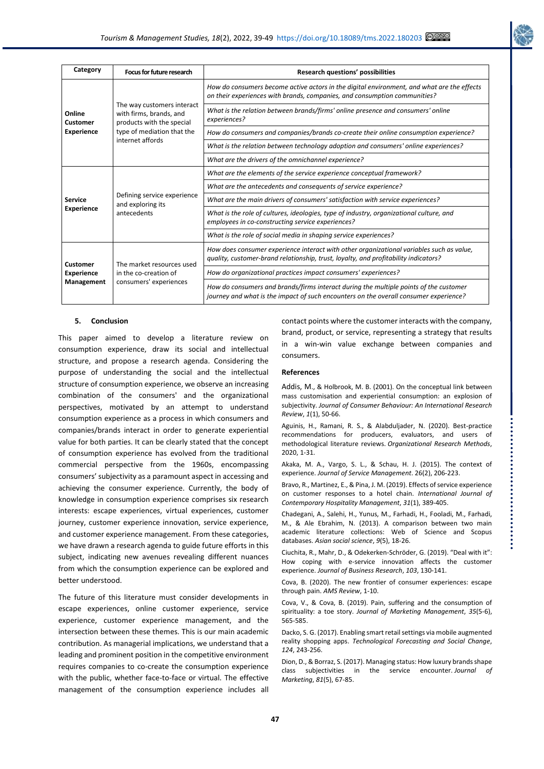

| Category                                    | Focus for future research                                                                                                            | <b>Research questions' possibilities</b>                                                                                                                                        |
|---------------------------------------------|--------------------------------------------------------------------------------------------------------------------------------------|---------------------------------------------------------------------------------------------------------------------------------------------------------------------------------|
| Online<br>Customer<br><b>Experience</b>     | The way customers interact<br>with firms, brands, and<br>products with the special<br>type of mediation that the<br>internet affords | How do consumers become active actors in the digital environment, and what are the effects<br>on their experiences with brands, companies, and consumption communities?         |
|                                             |                                                                                                                                      | What is the relation between brands/firms' online presence and consumers' online<br>experiences?                                                                                |
|                                             |                                                                                                                                      | How do consumers and companies/brands co-create their online consumption experience?                                                                                            |
|                                             |                                                                                                                                      | What is the relation between technology adoption and consumers' online experiences?                                                                                             |
|                                             |                                                                                                                                      | What are the drivers of the omnichannel experience?                                                                                                                             |
| <b>Service</b><br><b>Experience</b>         | Defining service experience<br>and exploring its<br>antecedents                                                                      | What are the elements of the service experience conceptual framework?                                                                                                           |
|                                             |                                                                                                                                      | What are the antecedents and consequents of service experience?                                                                                                                 |
|                                             |                                                                                                                                      | What are the main drivers of consumers' satisfaction with service experiences?                                                                                                  |
|                                             |                                                                                                                                      | What is the role of cultures, ideologies, type of industry, organizational culture, and<br>employees in co-constructing service experiences?                                    |
|                                             |                                                                                                                                      | What is the role of social media in shaping service experiences?                                                                                                                |
| Customer<br><b>Experience</b><br>Management | The market resources used<br>in the co-creation of<br>consumers' experiences                                                         | How does consumer experience interact with other organizational variables such as value,<br>quality, customer-brand relationship, trust, loyalty, and profitability indicators? |
|                                             |                                                                                                                                      | How do organizational practices impact consumers' experiences?                                                                                                                  |
|                                             |                                                                                                                                      | How do consumers and brands/firms interact during the multiple points of the customer<br>journey and what is the impact of such encounters on the overall consumer experience?  |

#### **5. Conclusion**

This paper aimed to develop a literature review on consumption experience, draw its social and intellectual structure, and propose a research agenda. Considering the purpose of understanding the social and the intellectual structure of consumption experience, we observe an increasing combination of the consumers' and the organizational perspectives, motivated by an attempt to understand consumption experience as a process in which consumers and companies/brands interact in order to generate experiential value for both parties. It can be clearly stated that the concept of consumption experience has evolved from the traditional commercial perspective from the 1960s, encompassing consumers' subjectivity as a paramount aspect in accessing and achieving the consumer experience. Currently, the body of knowledge in consumption experience comprises six research interests: escape experiences, virtual experiences, customer journey, customer experience innovation, service experience, and customer experience management. From these categories, we have drawn a research agenda to guide future efforts in this subject, indicating new avenues revealing different nuances from which the consumption experience can be explored and better understood.

The future of this literature must consider developments in escape experiences, online customer experience, service experience, customer experience management, and the intersection between these themes. This is our main academic contribution. As managerial implications, we understand that a leading and prominent position in the competitive environment requires companies to co-create the consumption experience with the public, whether face-to-face or virtual. The effective management of the consumption experience includes all contact points where the customer interacts with the company, brand, product, or service, representing a strategy that results in a win-win value exchange between companies and consumers.

#### **References**

Addis, M., & Holbrook, M. B. (2001). On the conceptual link between mass customisation and experiential consumption: an explosion of subjectivity. *Journal of Consumer Behaviour: An International Research Review*, *1*(1), 50-66.

Aguinis, H., Ramani, R. S., & Alabduljader, N. (2020). Best-practice recommendations for producers, evaluators, and users of methodological literature reviews. *Organizational Research Methods*, 2020, 1-31.

Akaka, M. A., Vargo, S. L., & Schau, H. J. (2015). The context of experience. *Journal of Service Management*. 26(2), 206-223.

Bravo, R., Martinez, E., & Pina, J. M. (2019). Effects of service experience on customer responses to a hotel chain. *International Journal of Contemporary Hospitality Management*, *31*(1), 389-405.

Chadegani, A., Salehi, H., Yunus, M., Farhadi, H., Fooladi, M., Farhadi, M., & Ale Ebrahim, N. (2013). A comparison between two main academic literature collections: Web of Science and Scopus databases. *Asian social science*, *9*(5), 18-26.

Ciuchita, R., Mahr, D., & Odekerken-Schröder, G. (2019). "Deal with it": How coping with e-service innovation affects the customer experience. *Journal of Business Research*, *103*, 130-141.

Cova, B. (2020). The new frontier of consumer experiences: escape through pain. *AMS Review*, 1-10.

Cova, V., & Cova, B. (2019). Pain, suffering and the consumption of spirituality: a toe story. *Journal of Marketing Management*, *35*(5-6), 565-585.

Dacko, S. G. (2017). Enabling smart retail settings via mobile augmented reality shopping apps. *Technological Forecasting and Social Change*, *124*, 243-256.

Dion, D., & Borraz, S. (2017). Managing status: How luxury brands shape class subjectivities in the service encounter. *Journal of Marketing*, *81*(5), 67-85.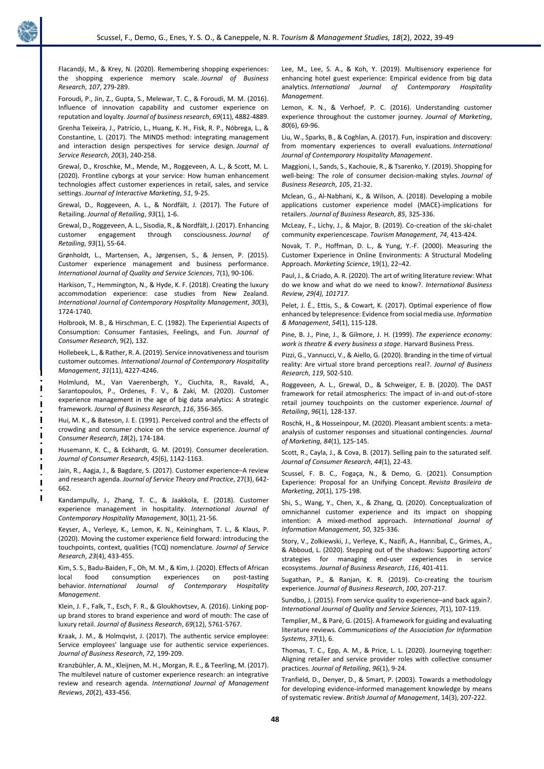

Flacandji, M., & Krey, N. (2020). Remembering shopping experiences: the shopping experience memory scale. *Journal of Business Research*, *107*, 279-289.

Foroudi, P., Jin, Z., Gupta, S., Melewar, T. C., & Foroudi, M. M. (2016). Influence of innovation capability and customer experience on reputation and loyalty. *Journal of business research*, *69*(11), 4882-4889.

Grenha Teixeira, J., Patrício, L., Huang, K. H., Fisk, R. P., Nóbrega, L., & Constantine, L. (2017). The MINDS method: integrating management and interaction design perspectives for service design. *Journal of Service Research*, *20*(3), 240-258.

Grewal, D., Kroschke, M., Mende, M., Roggeveen, A. L., & Scott, M. L. (2020). Frontline cyborgs at your service: How human enhancement technologies affect customer experiences in retail, sales, and service settings. *Journal of Interactive Marketing*, *51*, 9-25.

Grewal, D., Roggeveen, A. L., & Nordfält, J. (2017). The Future of Retailing. *Journal of Retailing*, *93*(1), 1-6.

Grewal, D., Roggeveen, A. L., Sisodia, R., & Nordfält, J. (2017). Enhancing customer engagement through consciousness. *Journal of Retailing*, *93*(1), 55-64.

Grønholdt, L., Martensen, A., Jørgensen, S., & Jensen, P. (2015). Customer experience management and business performance. *International Journal of Quality and Service Sciences*, 7(1), 90-106.

Harkison, T., Hemmington, N., & Hyde, K. F. (2018). Creating the luxury accommodation experience: case studies from New Zealand. *International Journal of Contemporary Hospitality Management*, *30*(3), 1724-1740.

Holbrook, M. B., & Hirschman, E. C. (1982). The Experiential Aspects of Consumption: Consumer Fantasies, Feelings, and Fun. *Journal of Consumer Research*, 9(2), 132.

Hollebeek, L., & Rather, R. A. (2019). Service innovativeness and tourism customer outcomes. *International Journal of Contemporary Hospitality Management*, *31*(11), 4227-4246.

Holmlund, M., Van Vaerenbergh, Y., Ciuchita, R., Ravald, A., Sarantopoulos, P., Ordenes, F. V., & Zaki, M. (2020). Customer experience management in the age of big data analytics: A strategic framework. *Journal of Business Research*, *116*, 356-365.

Hui, M. K., & Bateson, J. E. (1991). Perceived control and the effects of crowding and consumer choice on the service experience. *Journal of Consumer Research*, *18*(2), 174-184.

Husemann, K. C., & Eckhardt, G. M. (2019). Consumer deceleration*. Journal of Consumer Research*, *45*(6), 1142-1163.

Jain, R., Aagja, J., & Bagdare, S. (2017). Customer experience–A review and research agenda. *Journal of Service Theory and Practice*, 27(3), 642- 662.

Kandampully, J., Zhang, T. C., & Jaakkola, E. (2018). Customer experience management in hospitality. *International Journal of Contemporary Hospitality Management*, 30(1), 21-56.

Keyser, A., Verleye, K., Lemon, K. N., Keiningham, T. L., & Klaus, P. (2020). Moving the customer experience field forward: introducing the touchpoints, context, qualities (TCQ) nomenclature. *Journal of Service Research*, *23*(4), 433-455.

Kim, S. S., Badu-Baiden, F., Oh, M. M., & Kim, J. (2020). Effects of African local food consumption experiences on post-tasting behavior. *International Journal of Contemporary Hospitality Management*.

Klein, J. F., Falk, T., Esch, F. R., & Gloukhovtsev, A. (2016). Linking popup brand stores to brand experience and word of mouth: The case of luxury retail. *Journal of Business Research*, *69*(12), 5761-5767.

Kraak, J. M., & Holmqvist, J. (2017). The authentic service employee: Service employees' language use for authentic service experiences. *Journal of Business Research*, *72*, 199-209.

Kranzbühler, A. M., Kleijnen, M. H., Morgan, R. E., & Teerling, M. (2017). The multilevel nature of customer experience research: an integrative review and research agenda. *International Journal of Management Reviews*, *20*(2), 433-456.

Lee, M., Lee, S. A., & Koh, Y. (2019). Multisensory experience for enhancing hotel guest experience: Empirical evidence from big data analytics. *International Journal of Contemporary Hospitality Management*.

Lemon, K. N., & Verhoef, P. C. (2016). Understanding customer experience throughout the customer journey. *Journal of Marketing*, *80*(6), 69-96.

Liu, W., Sparks, B., & Coghlan, A. (2017). Fun, inspiration and discovery: from momentary experiences to overall evaluations. *International Journal of Contemporary Hospitality Management*.

Maggioni, I., Sands, S., Kachouie, R., & Tsarenko, Y. (2019). Shopping for well-being: The role of consumer decision-making styles. *Journal of Business Research*, *105*, 21-32.

Mclean, G., Al-Nabhani, K., & Wilson, A. (2018). Developing a mobile applications customer experience model (MACE)-implications for retailers. *Journal of Business Research*, *85*, 325-336.

McLeay, F., Lichy, J., & Major, B. (2019). Co-creation of the ski-chalet community experiencescape. *Tourism Management*, *74*, 413-424.

Novak, T. P., Hoffman, D. L., & Yung, Y.-F. (2000). Measuring the Customer Experience in Online Environments: A Structural Modeling Approach. *Marketing Science*, 19(1), 22–42.

Paul, J., & Criado, A. R. (2020). The art of writing literature review: What do we know and what do we need to know?. *International Business Review, 29(4), 101717.*

Pelet, J. É., Ettis, S., & Cowart, K. (2017). Optimal experience of flow enhanced by telepresence: Evidence from social media use. *Information & Management*, *54*(1), 115-128.

Pine, B. J., Pine, J., & Gilmore, J. H. (1999). *The experience economy: work is theatre & every business a stage*. Harvard Business Press.

Pizzi, G., Vannucci, V., & Aiello, G. (2020). Branding in the time of virtual reality: Are virtual store brand perceptions real?. *Journal of Business Research*, *119*, 502-510.

Roggeveen, A. L., Grewal, D., & Schweiger, E. B. (2020). The DAST framework for retail atmospherics: The impact of in-and out-of-store retail journey touchpoints on the customer experience. *Journal of Retailing*, *96*(1), 128-137.

Roschk, H., & Hosseinpour, M. (2020). Pleasant ambient scents: a metaanalysis of customer responses and situational contingencies. *Journal of Marketing*, *84*(1), 125-145.

Scott, R., Cayla, J., & Cova, B. (2017). Selling pain to the saturated self. *Journal of Consumer Research*, *44*(1), 22-43.

Scussel, F. B. C., Fogaça, N., & Demo, G. (2021). Consumption Experience: Proposal for an Unifying Concept. *Revista Brasileira de Marketing*, *20*(1), 175-198.

Shi, S., Wang, Y., Chen, X., & Zhang, Q. (2020). Conceptualization of omnichannel customer experience and its impact on shopping intention: A mixed-method approach. *International Journal of Information Management*, *50*, 325-336.

Story, V., Zolkiewski, J., Verleye, K., Nazifi, A., Hannibal, C., Grimes, A., & Abboud, L. (2020). Stepping out of the shadows: Supporting actors' strategies for managing end-user experiences in service ecosystems. *Journal of Business Research*, *116*, 401-411.

Sugathan, P., & Ranjan, K. R. (2019). Co-creating the tourism experience. *Journal of Business Research*, *100*, 207-217.

Sundbo, J. (2015). From service quality to experience–and back again?. *International Journal of Quality and Service Sciences*, *7*(1), 107-119.

Templier, M., & Paré, G. (2015). A framework for guiding and evaluating literature reviews. *Communications of the Association for Information Systems*, *37*(1), 6.

Thomas, T. C., Epp, A. M., & Price, L. L. (2020). Journeying together: Aligning retailer and service provider roles with collective consumer practices. *Journal of Retailing*, *96*(1), 9-24.

Tranfield, D., Denyer, D., & Smart, P. (2003). Towards a methodology for developing evidence-informed management knowledge by means of systematic review. *British Journal of Management*, 14(3), 207-222.